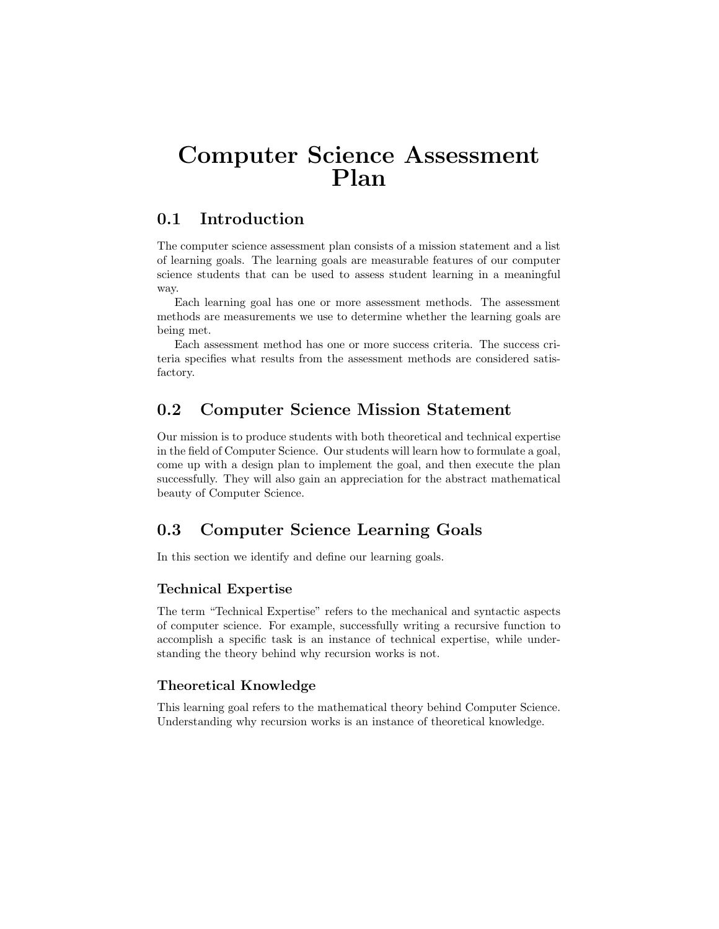# Computer Science Assessment Plan

## 0.1 Introduction

The computer science assessment plan consists of a mission statement and a list of learning goals. The learning goals are measurable features of our computer science students that can be used to assess student learning in a meaningful way.

Each learning goal has one or more assessment methods. The assessment methods are measurements we use to determine whether the learning goals are being met.

Each assessment method has one or more success criteria. The success criteria specifies what results from the assessment methods are considered satisfactory.

## 0.2 Computer Science Mission Statement

Our mission is to produce students with both theoretical and technical expertise in the field of Computer Science. Our students will learn how to formulate a goal, come up with a design plan to implement the goal, and then execute the plan successfully. They will also gain an appreciation for the abstract mathematical beauty of Computer Science.

# 0.3 Computer Science Learning Goals

In this section we identify and define our learning goals.

## Technical Expertise

The term "Technical Expertise" refers to the mechanical and syntactic aspects of computer science. For example, successfully writing a recursive function to accomplish a specific task is an instance of technical expertise, while understanding the theory behind why recursion works is not.

#### Theoretical Knowledge

This learning goal refers to the mathematical theory behind Computer Science. Understanding why recursion works is an instance of theoretical knowledge.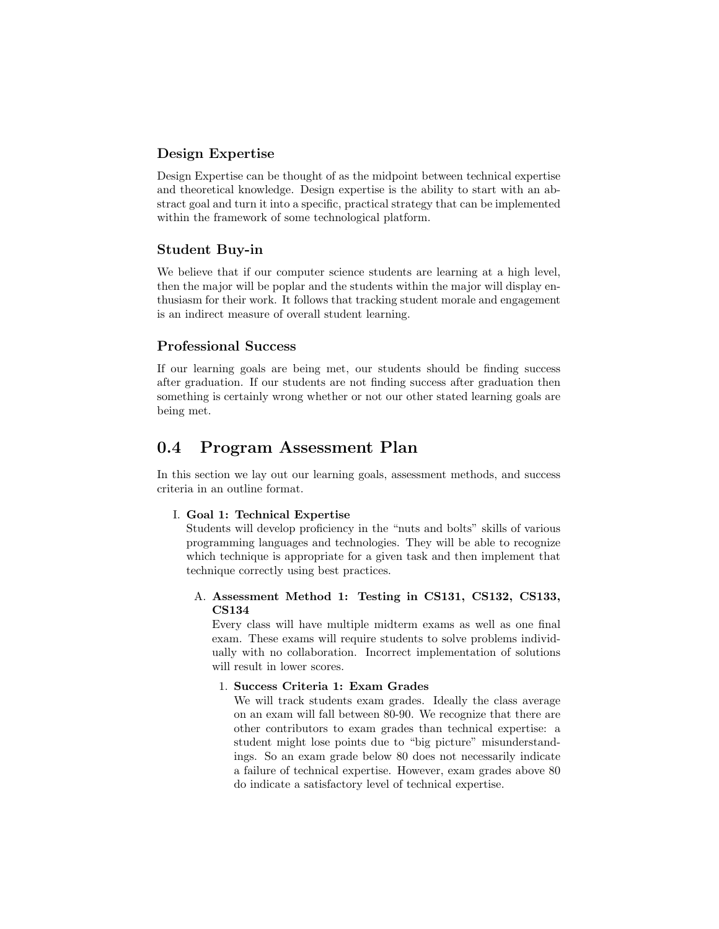## Design Expertise

Design Expertise can be thought of as the midpoint between technical expertise and theoretical knowledge. Design expertise is the ability to start with an abstract goal and turn it into a specific, practical strategy that can be implemented within the framework of some technological platform.

#### Student Buy-in

We believe that if our computer science students are learning at a high level, then the major will be poplar and the students within the major will display enthusiasm for their work. It follows that tracking student morale and engagement is an indirect measure of overall student learning.

#### Professional Success

If our learning goals are being met, our students should be finding success after graduation. If our students are not finding success after graduation then something is certainly wrong whether or not our other stated learning goals are being met.

## 0.4 Program Assessment Plan

In this section we lay out our learning goals, assessment methods, and success criteria in an outline format.

#### I. Goal 1: Technical Expertise

Students will develop proficiency in the "nuts and bolts" skills of various programming languages and technologies. They will be able to recognize which technique is appropriate for a given task and then implement that technique correctly using best practices.

#### A. Assessment Method 1: Testing in CS131, CS132, CS133, CS134

Every class will have multiple midterm exams as well as one final exam. These exams will require students to solve problems individually with no collaboration. Incorrect implementation of solutions will result in lower scores.

#### 1. Success Criteria 1: Exam Grades

We will track students exam grades. Ideally the class average on an exam will fall between 80-90. We recognize that there are other contributors to exam grades than technical expertise: a student might lose points due to "big picture" misunderstandings. So an exam grade below 80 does not necessarily indicate a failure of technical expertise. However, exam grades above 80 do indicate a satisfactory level of technical expertise.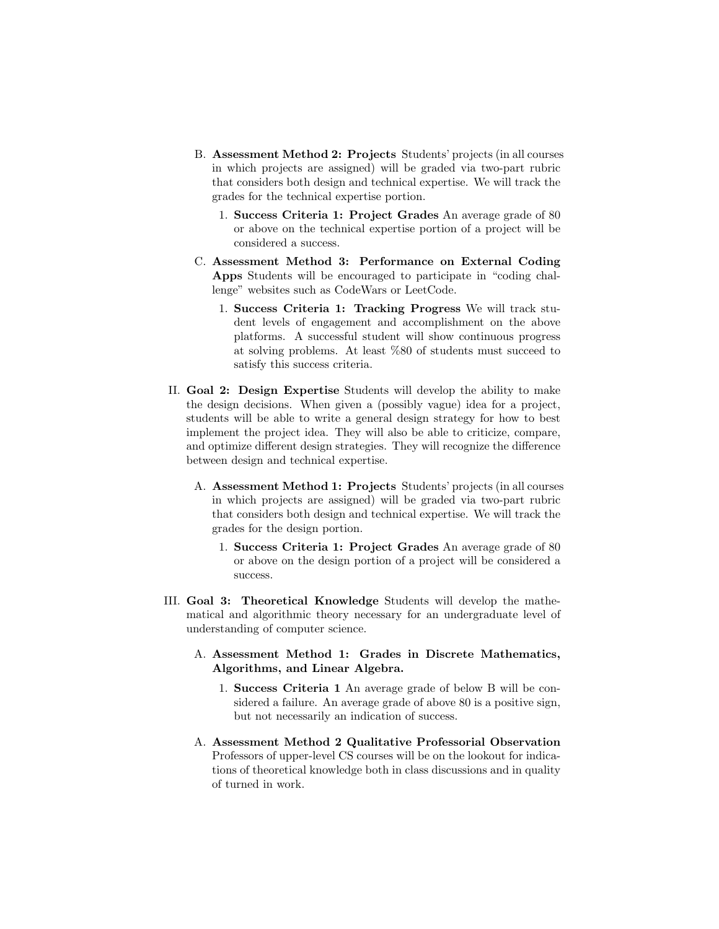- B. Assessment Method 2: Projects Students' projects (in all courses in which projects are assigned) will be graded via two-part rubric that considers both design and technical expertise. We will track the grades for the technical expertise portion.
	- 1. Success Criteria 1: Project Grades An average grade of 80 or above on the technical expertise portion of a project will be considered a success.
- C. Assessment Method 3: Performance on External Coding Apps Students will be encouraged to participate in "coding challenge" websites such as CodeWars or LeetCode.
	- 1. Success Criteria 1: Tracking Progress We will track student levels of engagement and accomplishment on the above platforms. A successful student will show continuous progress at solving problems. At least %80 of students must succeed to satisfy this success criteria.
- II. Goal 2: Design Expertise Students will develop the ability to make the design decisions. When given a (possibly vague) idea for a project, students will be able to write a general design strategy for how to best implement the project idea. They will also be able to criticize, compare, and optimize different design strategies. They will recognize the difference between design and technical expertise.
	- A. Assessment Method 1: Projects Students' projects (in all courses in which projects are assigned) will be graded via two-part rubric that considers both design and technical expertise. We will track the grades for the design portion.
		- 1. Success Criteria 1: Project Grades An average grade of 80 or above on the design portion of a project will be considered a success.
- III. Goal 3: Theoretical Knowledge Students will develop the mathematical and algorithmic theory necessary for an undergraduate level of understanding of computer science.
	- A. Assessment Method 1: Grades in Discrete Mathematics, Algorithms, and Linear Algebra.
		- 1. Success Criteria 1 An average grade of below B will be considered a failure. An average grade of above 80 is a positive sign, but not necessarily an indication of success.
	- A. Assessment Method 2 Qualitative Professorial Observation Professors of upper-level CS courses will be on the lookout for indications of theoretical knowledge both in class discussions and in quality of turned in work.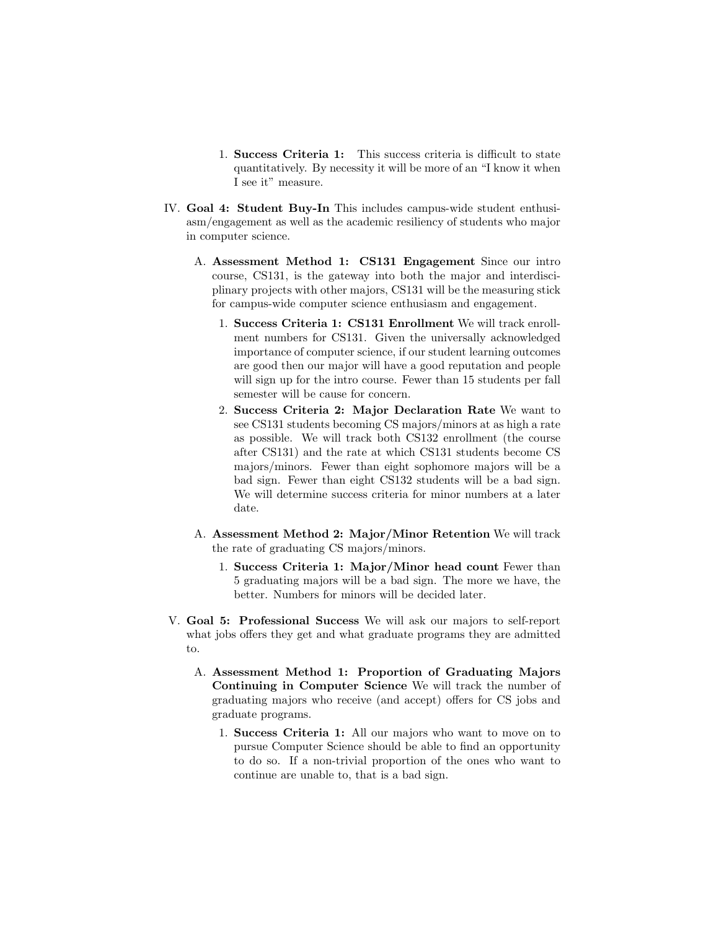- 1. Success Criteria 1: This success criteria is difficult to state quantitatively. By necessity it will be more of an "I know it when I see it" measure.
- IV. Goal 4: Student Buy-In This includes campus-wide student enthusiasm/engagement as well as the academic resiliency of students who major in computer science.
	- A. Assessment Method 1: CS131 Engagement Since our intro course, CS131, is the gateway into both the major and interdisciplinary projects with other majors, CS131 will be the measuring stick for campus-wide computer science enthusiasm and engagement.
		- 1. Success Criteria 1: CS131 Enrollment We will track enrollment numbers for CS131. Given the universally acknowledged importance of computer science, if our student learning outcomes are good then our major will have a good reputation and people will sign up for the intro course. Fewer than 15 students per fall semester will be cause for concern.
		- 2. Success Criteria 2: Major Declaration Rate We want to see CS131 students becoming CS majors/minors at as high a rate as possible. We will track both CS132 enrollment (the course after CS131) and the rate at which CS131 students become CS majors/minors. Fewer than eight sophomore majors will be a bad sign. Fewer than eight CS132 students will be a bad sign. We will determine success criteria for minor numbers at a later date.
	- A. Assessment Method 2: Major/Minor Retention We will track the rate of graduating CS majors/minors.
		- 1. Success Criteria 1: Major/Minor head count Fewer than 5 graduating majors will be a bad sign. The more we have, the better. Numbers for minors will be decided later.
- V. Goal 5: Professional Success We will ask our majors to self-report what jobs offers they get and what graduate programs they are admitted to.
	- A. Assessment Method 1: Proportion of Graduating Majors Continuing in Computer Science We will track the number of graduating majors who receive (and accept) offers for CS jobs and graduate programs.
		- 1. Success Criteria 1: All our majors who want to move on to pursue Computer Science should be able to find an opportunity to do so. If a non-trivial proportion of the ones who want to continue are unable to, that is a bad sign.